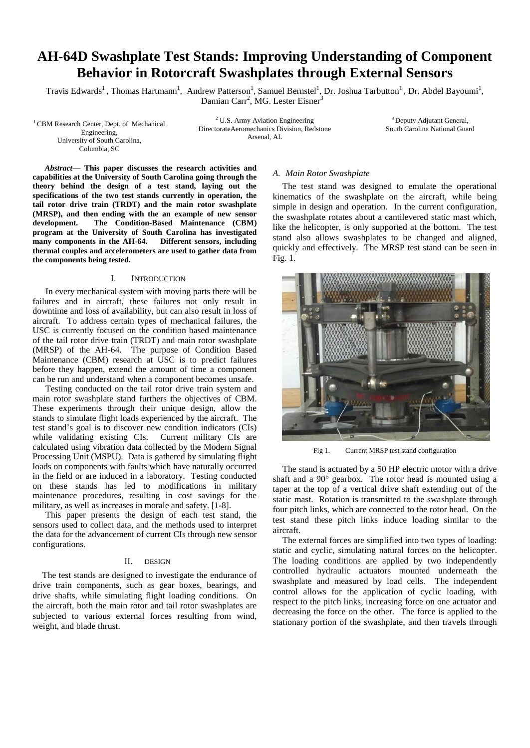# **AH-64D Swashplate Test Stands: Improving Understanding of Component Behavior in Rotorcraft Swashplates through External Sensors**

Travis Edwards<sup>1</sup>, Thomas Hartmann<sup>1</sup>, Andrew Patterson<sup>1</sup>, Samuel Bernstel<sup>1</sup>, Dr. Joshua Tarbutton<sup>1</sup>, Dr. Abdel Bayoumi<sup>1</sup>, Damian Carr<sup>2</sup>, MG. Lester Eisner<sup>3</sup>

<sup>1</sup> CBM Research Center, Dept. of Mechanical Engineering, University of South Carolina, Columbia, SC

<sup>2</sup> U.S. Army Aviation Engineering DirectorateAeromechanics Division, Redstone Arsenal, AL

<sup>3</sup> Deputy Adjutant General, South Carolina National Guard

*Abstract***— This paper discusses the research activities and capabilities at the University of South Carolina going through the theory behind the design of a test stand, laying out the specifications of the two test stands currently in operation, the tail rotor drive train (TRDT) and the main rotor swashplate (MRSP), and then ending with the an example of new sensor development. The Condition-Based Maintenance (CBM) program at the University of South Carolina has investigated many components in the AH-64. Different sensors, including thermal couples and accelerometers are used to gather data from the components being tested.** 

#### I. INTRODUCTION

In every mechanical system with moving parts there will be failures and in aircraft, these failures not only result in downtime and loss of availability, but can also result in loss of aircraft. To address certain types of mechanical failures, the USC is currently focused on the condition based maintenance of the tail rotor drive train (TRDT) and main rotor swashplate (MRSP) of the AH-64. The purpose of Condition Based Maintenance (CBM) research at USC is to predict failures before they happen, extend the amount of time a component can be run and understand when a component becomes unsafe.

Testing conducted on the tail rotor drive train system and main rotor swashplate stand furthers the objectives of CBM. These experiments through their unique design, allow the stands to simulate flight loads experienced by the aircraft. The test stand's goal is to discover new condition indicators (CIs) while validating existing CIs. Current military CIs are calculated using vibration data collected by the Modern Signal Processing Unit (MSPU). Data is gathered by simulating flight loads on components with faults which have naturally occurred in the field or are induced in a laboratory. Testing conducted on these stands has led to modifications in military maintenance procedures, resulting in cost savings for the military, as well as increases in morale and safety. [1-8].

This paper presents the design of each test stand, the sensors used to collect data, and the methods used to interpret the data for the advancement of current CIs through new sensor configurations.

#### II. DESIGN

The test stands are designed to investigate the endurance of drive train components, such as gear boxes, bearings, and drive shafts, while simulating flight loading conditions. On the aircraft, both the main rotor and tail rotor swashplates are subjected to various external forces resulting from wind, weight, and blade thrust.

## *A. Main Rotor Swashplate*

The test stand was designed to emulate the operational kinematics of the swashplate on the aircraft, while being simple in design and operation. In the current configuration, the swashplate rotates about a cantilevered static mast which, like the helicopter, is only supported at the bottom. The test stand also allows swashplates to be changed and aligned, quickly and effectively. The MRSP test stand can be seen in Fig. 1.



Fig 1. Current MRSP test stand configuration

The stand is actuated by a 50 HP electric motor with a drive shaft and a 90° gearbox. The rotor head is mounted using a taper at the top of a vertical drive shaft extending out of the static mast. Rotation is transmitted to the swashplate through four pitch links, which are connected to the rotor head. On the test stand these pitch links induce loading similar to the aircraft.

The external forces are simplified into two types of loading: static and cyclic, simulating natural forces on the helicopter. The loading conditions are applied by two independently controlled hydraulic actuators mounted underneath the swashplate and measured by load cells. The independent control allows for the application of cyclic loading, with respect to the pitch links, increasing force on one actuator and decreasing the force on the other. The force is applied to the stationary portion of the swashplate, and then travels through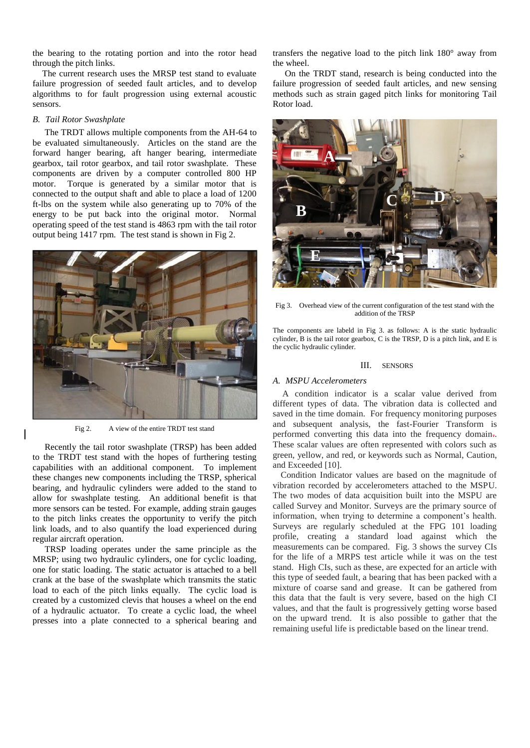the bearing to the rotating portion and into the rotor head through the pitch links.

The current research uses the MRSP test stand to evaluate failure progression of seeded fault articles, and to develop algorithms to for fault progression using external acoustic sensors.

## *B. Tail Rotor Swashplate*

The TRDT allows multiple components from the AH-64 to be evaluated simultaneously. Articles on the stand are the forward hanger bearing, aft hanger bearing, intermediate gearbox, tail rotor gearbox, and tail rotor swashplate. These components are driven by a computer controlled 800 HP motor. Torque is generated by a similar motor that is connected to the output shaft and able to place a load of 1200 ft-lbs on the system while also generating up to 70% of the energy to be put back into the original motor. Normal operating speed of the test stand is 4863 rpm with the tail rotor output being 1417 rpm. The test stand is shown in Fig 2.



Fig 2. A view of the entire TRDT test stand

Recently the tail rotor swashplate (TRSP) has been added to the TRDT test stand with the hopes of furthering testing capabilities with an additional component. To implement these changes new components including the TRSP, spherical bearing, and hydraulic cylinders were added to the stand to allow for swashplate testing. An additional benefit is that more sensors can be tested. For example, adding strain gauges to the pitch links creates the opportunity to verify the pitch link loads, and to also quantify the load experienced during regular aircraft operation.

TRSP loading operates under the same principle as the MRSP; using two hydraulic cylinders, one for cyclic loading, one for static loading. The static actuator is attached to a bell crank at the base of the swashplate which transmits the static load to each of the pitch links equally. The cyclic load is created by a customized clevis that houses a wheel on the end of a hydraulic actuator. To create a cyclic load, the wheel presses into a plate connected to a spherical bearing and transfers the negative load to the pitch link 180° away from the wheel.

On the TRDT stand, research is being conducted into the failure progression of seeded fault articles, and new sensing methods such as strain gaged pitch links for monitoring Tail Rotor load.



Fig 3. Overhead view of the current configuration of the test stand with the addition of the TRSP

The components are labeld in Fig 3. as follows: A is the static hydraulic cylinder, B is the tail rotor gearbox, C is the TRSP, D is a pitch link, and E is the cyclic hydraulic cylinder.

#### III. SENSORS

## *A. MSPU Accelerometers*

A condition indicator is a scalar value derived from different types of data. The vibration data is collected and saved in the time domain. For frequency monitoring purposes and subsequent analysis, the fast-Fourier Transform is performed converting this data into the frequency domain.. These scalar values are often represented with colors such as green, yellow, and red, or keywords such as Normal, Caution, and Exceeded [10].

Condition Indicator values are based on the magnitude of vibration recorded by accelerometers attached to the MSPU. The two modes of data acquisition built into the MSPU are called Survey and Monitor. Surveys are the primary source of information, when trying to determine a component's health. Surveys are regularly scheduled at the FPG 101 loading profile, creating a standard load against which the measurements can be compared. Fig. 3 shows the survey CIs for the life of a MRPS test article while it was on the test stand. High CIs, such as these, are expected for an article with this type of seeded fault, a bearing that has been packed with a mixture of coarse sand and grease. It can be gathered from this data that the fault is very severe, based on the high CI values, and that the fault is progressively getting worse based on the upward trend. It is also possible to gather that the remaining useful life is predictable based on the linear trend.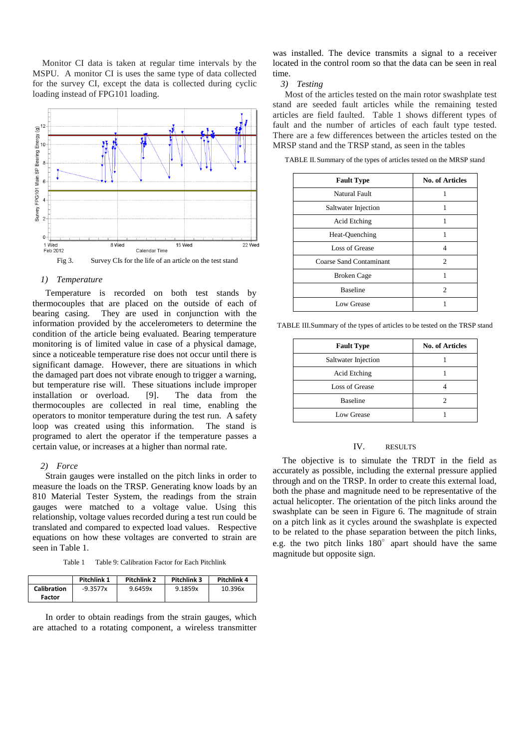Monitor CI data is taken at regular time intervals by the MSPU. A monitor CI is uses the same type of data collected for the survey CI, except the data is collected during cyclic loading instead of FPG101 loading.



## *1) Temperature*

Temperature is recorded on both test stands by thermocouples that are placed on the outside of each of bearing casing. They are used in conjunction with the information provided by the accelerometers to determine the condition of the article being evaluated. Bearing temperature monitoring is of limited value in case of a physical damage, since a noticeable temperature rise does not occur until there is significant damage. However, there are situations in which the damaged part does not vibrate enough to trigger a warning, but temperature rise will. These situations include improper installation or overload. [9]. The data from the thermocouples are collected in real time, enabling the operators to monitor temperature during the test run. A safety loop was created using this information. The stand is programed to alert the operator if the temperature passes a certain value, or increases at a higher than normal rate.

#### *2) Force*

Strain gauges were installed on the pitch links in order to measure the loads on the TRSP. Generating know loads by an 810 Material Tester System, the readings from the strain gauges were matched to a voltage value. Using this relationship, voltage values recorded during a test run could be translated and compared to expected load values. Respective equations on how these voltages are converted to strain are seen in Table 1.

| Table 9: Calibration Factor for Each Pitchlink<br>Table 1 |
|-----------------------------------------------------------|
|-----------------------------------------------------------|

|                    | Pitchlink 1 | Pitchlink 2 | Pitchlink 3 | Pitchlink 4 |
|--------------------|-------------|-------------|-------------|-------------|
| <b>Calibration</b> | $-9.3577x$  | 9.6459x     | 9.1859x     | 10.396x     |
| Factor             |             |             |             |             |

In order to obtain readings from the strain gauges, which are attached to a rotating component, a wireless transmitter was installed. The device transmits a signal to a receiver located in the control room so that the data can be seen in real time.

*3) Testing*

Most of the articles tested on the main rotor swashplate test stand are seeded fault articles while the remaining tested articles are field faulted. Table 1 shows different types of fault and the number of articles of each fault type tested. There are a few differences between the articles tested on the MRSP stand and the TRSP stand, as seen in the tables

TABLE II.Summary of the types of articles tested on the MRSP stand

| <b>Fault Type</b>              | No. of Articles             |
|--------------------------------|-----------------------------|
| Natural Fault                  |                             |
| Saltwater Injection            |                             |
| Acid Etching                   |                             |
| Heat-Quenching                 | 1                           |
| Loss of Grease                 | 4                           |
| <b>Coarse Sand Contaminant</b> | $\mathcal{D}_{\mathcal{L}}$ |
| <b>Broken Cage</b>             | 1                           |
| <b>Baseline</b>                | 2                           |
| Low Grease                     |                             |

TABLE III.Summary of the types of articles to be tested on the TRSP stand

| <b>Fault Type</b>   | No. of Articles |
|---------------------|-----------------|
| Saltwater Injection |                 |
| Acid Etching        |                 |
| Loss of Grease      |                 |
| <b>Baseline</b>     | 2               |
| Low Grease          |                 |

#### IV. RESULTS

The objective is to simulate the TRDT in the field as accurately as possible, including the external pressure applied through and on the TRSP. In order to create this external load, both the phase and magnitude need to be representative of the actual helicopter. The orientation of the pitch links around the swashplate can be seen in Figure 6. The magnitude of strain on a pitch link as it cycles around the swashplate is expected to be related to the phase separation between the pitch links, e.g. the two pitch links  $180^\circ$  apart should have the same magnitude but opposite sign.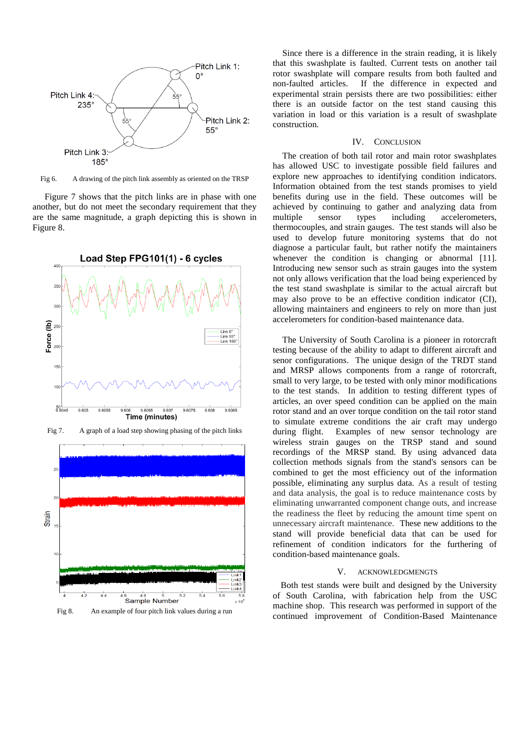

Fig 6. A drawing of the pitch link assembly as oriented on the TRSP

Figure 7 shows that the pitch links are in phase with one another, but do not meet the secondary requirement that they are the same magnitude, a graph depicting this is shown in Figure 8.



Fig 7. A graph of a load step showing phasing of the pitch links



Fig 8. An example of four pitch link values during a run

Since there is a difference in the strain reading, it is likely that this swashplate is faulted. Current tests on another tail rotor swashplate will compare results from both faulted and non-faulted articles. If the difference in expected and experimental strain persists there are two possibilities: either there is an outside factor on the test stand causing this variation in load or this variation is a result of swashplate construction.

#### IV. CONCLUSION

The creation of both tail rotor and main rotor swashplates has allowed USC to investigate possible field failures and explore new approaches to identifying condition indicators. Information obtained from the test stands promises to yield benefits during use in the field. These outcomes will be achieved by continuing to gather and analyzing data from multiple sensor types including accelerometers, thermocouples, and strain gauges. The test stands will also be used to develop future monitoring systems that do not diagnose a particular fault, but rather notify the maintainers whenever the condition is changing or abnormal [11]. Introducing new sensor such as strain gauges into the system not only allows verification that the load being experienced by the test stand swashplate is similar to the actual aircraft but may also prove to be an effective condition indicator (CI), allowing maintainers and engineers to rely on more than just accelerometers for condition-based maintenance data.

The University of South Carolina is a pioneer in rotorcraft testing because of the ability to adapt to different aircraft and senor configurations. The unique design of the TRDT stand and MRSP allows components from a range of rotorcraft, small to very large, to be tested with only minor modifications to the test stands. In addition to testing different types of articles, an over speed condition can be applied on the main rotor stand and an over torque condition on the tail rotor stand to simulate extreme conditions the air craft may undergo during flight. Examples of new sensor technology are wireless strain gauges on the TRSP stand and sound recordings of the MRSP stand. By using advanced data collection methods signals from the stand's sensors can be combined to get the most efficiency out of the information possible, eliminating any surplus data. As a result of testing and data analysis, the goal is to reduce maintenance costs by eliminating unwarranted component change outs, and increase the readiness the fleet by reducing the amount time spent on unnecessary aircraft maintenance. These new additions to the stand will provide beneficial data that can be used for refinement of condition indicators for the furthering of condition-based maintenance goals.

#### V. ACKNOWLEDGMENGTS

Both test stands were built and designed by the University of South Carolina, with fabrication help from the USC machine shop. This research was performed in support of the continued improvement of Condition-Based Maintenance